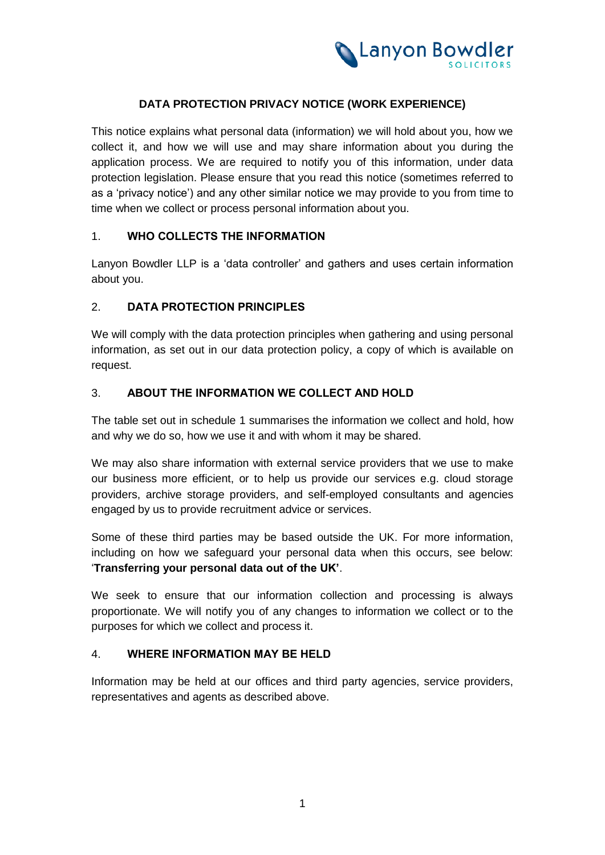

### **DATA PROTECTION PRIVACY NOTICE (WORK EXPERIENCE)**

This notice explains what personal data (information) we will hold about you, how we collect it, and how we will use and may share information about you during the application process. We are required to notify you of this information, under data protection legislation. Please ensure that you read this notice (sometimes referred to as a 'privacy notice') and any other similar notice we may provide to you from time to time when we collect or process personal information about you.

#### 1. **WHO COLLECTS THE INFORMATION**

Lanyon Bowdler LLP is a 'data controller' and gathers and uses certain information about you.

# 2. **DATA PROTECTION PRINCIPLES**

We will comply with the data protection principles when gathering and using personal information, as set out in our data protection policy, a copy of which is available on request.

### 3. **ABOUT THE INFORMATION WE COLLECT AND HOLD**

The table set out in schedule 1 summarises the information we collect and hold, how and why we do so, how we use it and with whom it may be shared.

We may also share information with external service providers that we use to make our business more efficient, or to help us provide our services e.g. cloud storage providers, archive storage providers, and self-employed consultants and agencies engaged by us to provide recruitment advice or services.

Some of these third parties may be based outside the UK. For more information, including on how we safeguard your personal data when this occurs, see below: '**Transferring your personal data out of the UK'**.

We seek to ensure that our information collection and processing is always proportionate. We will notify you of any changes to information we collect or to the purposes for which we collect and process it.

# 4. **WHERE INFORMATION MAY BE HELD**

Information may be held at our offices and third party agencies, service providers, representatives and agents as described above.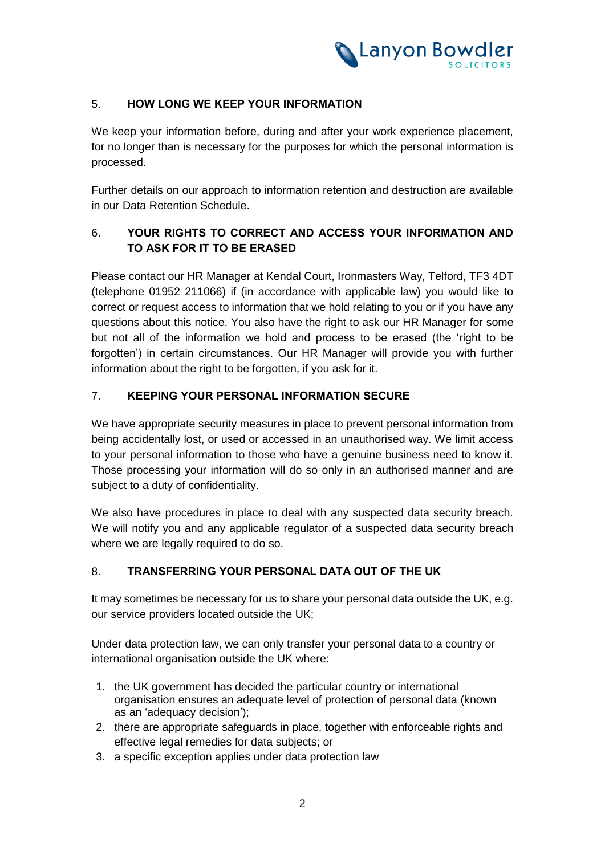

# 5. **HOW LONG WE KEEP YOUR INFORMATION**

We keep your information before, during and after your work experience placement, for no longer than is necessary for the purposes for which the personal information is processed.

Further details on our approach to information retention and destruction are available in our Data Retention Schedule.

# 6. **YOUR RIGHTS TO CORRECT AND ACCESS YOUR INFORMATION AND TO ASK FOR IT TO BE ERASED**

Please contact our HR Manager at Kendal Court, Ironmasters Way, Telford, TF3 4DT (telephone 01952 211066) if (in accordance with applicable law) you would like to correct or request access to information that we hold relating to you or if you have any questions about this notice. You also have the right to ask our HR Manager for some but not all of the information we hold and process to be erased (the 'right to be forgotten') in certain circumstances. Our HR Manager will provide you with further information about the right to be forgotten, if you ask for it.

### 7. **KEEPING YOUR PERSONAL INFORMATION SECURE**

We have appropriate security measures in place to prevent personal information from being accidentally lost, or used or accessed in an unauthorised way. We limit access to your personal information to those who have a genuine business need to know it. Those processing your information will do so only in an authorised manner and are subject to a duty of confidentiality.

We also have procedures in place to deal with any suspected data security breach. We will notify you and any applicable regulator of a suspected data security breach where we are legally required to do so.

# 8. **TRANSFERRING YOUR PERSONAL DATA OUT OF THE UK**

It may sometimes be necessary for us to share your personal data outside the UK, e.g. our service providers located outside the UK;

Under data protection law, we can only transfer your personal data to a country or international organisation outside the UK where:

- 1. the UK government has decided the particular country or international organisation ensures an adequate level of protection of personal data (known as an 'adequacy decision');
- 2. there are appropriate safeguards in place, together with enforceable rights and effective legal remedies for data subjects; or
- 3. a specific exception applies under data protection law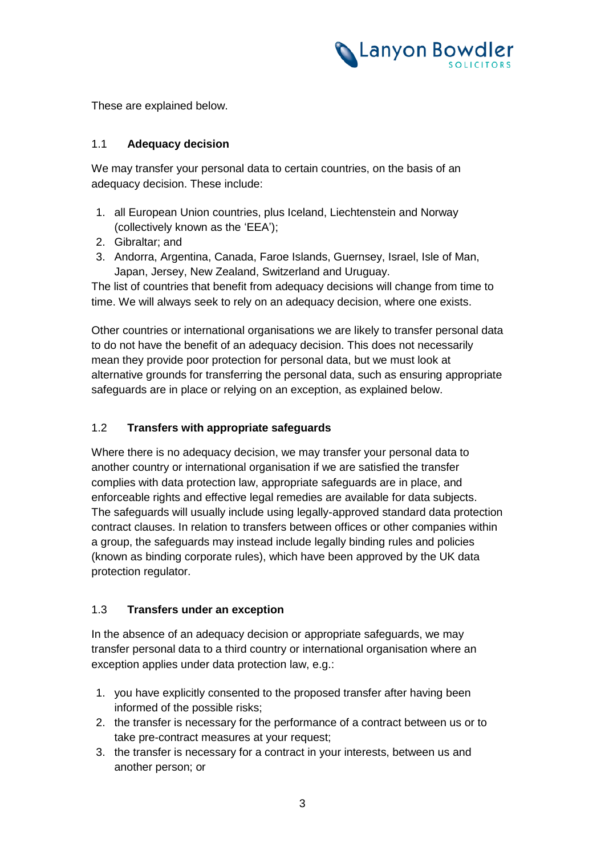

These are explained below.

### 1.1 **Adequacy decision**

We may transfer your personal data to certain countries, on the basis of an adequacy decision. These include:

- 1. all European Union countries, plus Iceland, Liechtenstein and Norway (collectively known as the 'EEA');
- 2. Gibraltar; and
- 3. Andorra, Argentina, Canada, Faroe Islands, Guernsey, Israel, Isle of Man, Japan, Jersey, New Zealand, Switzerland and Uruguay.

The list of countries that benefit from adequacy decisions will change from time to time. We will always seek to rely on an adequacy decision, where one exists.

Other countries or international organisations we are likely to transfer personal data to do not have the benefit of an adequacy decision. This does not necessarily mean they provide poor protection for personal data, but we must look at alternative grounds for transferring the personal data, such as ensuring appropriate safeguards are in place or relying on an exception, as explained below.

#### 1.2 **Transfers with appropriate safeguards**

Where there is no adequacy decision, we may transfer your personal data to another country or international organisation if we are satisfied the transfer complies with data protection law, appropriate safeguards are in place, and enforceable rights and effective legal remedies are available for data subjects. The safeguards will usually include using legally-approved standard data protection contract clauses. In relation to transfers between offices or other companies within a group, the safeguards may instead include legally binding rules and policies (known as binding corporate rules), which have been approved by the UK data protection regulator.

#### 1.3 **Transfers under an exception**

In the absence of an adequacy decision or appropriate safeguards, we may transfer personal data to a third country or international organisation where an exception applies under data protection law, e.g.:

- 1. you have explicitly consented to the proposed transfer after having been informed of the possible risks;
- 2. the transfer is necessary for the performance of a contract between us or to take pre-contract measures at your request;
- 3. the transfer is necessary for a contract in your interests, between us and another person; or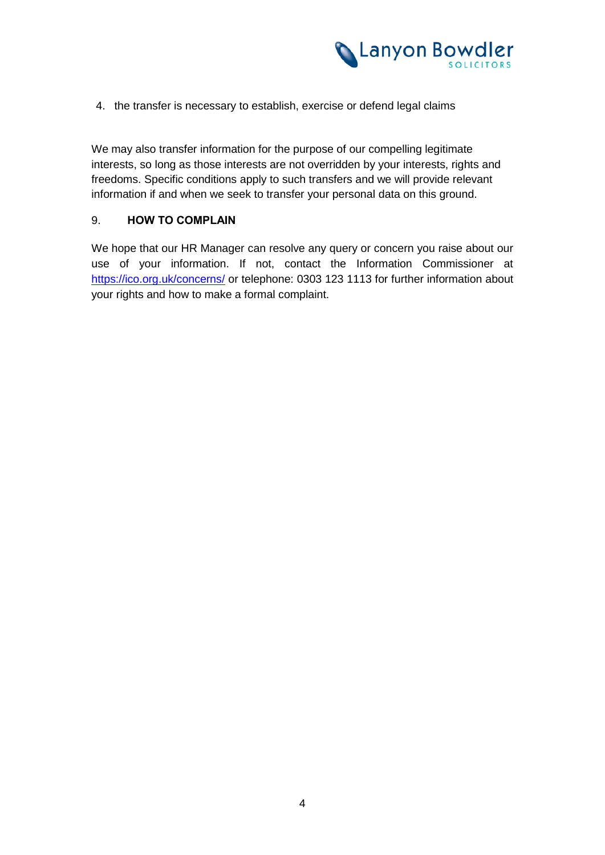

4. the transfer is necessary to establish, exercise or defend legal claims

We may also transfer information for the purpose of our compelling legitimate interests, so long as those interests are not overridden by your interests, rights and freedoms. Specific conditions apply to such transfers and we will provide relevant information if and when we seek to transfer your personal data on this ground.

### 9. **HOW TO COMPLAIN**

We hope that our HR Manager can resolve any query or concern you raise about our use of your information. If not, contact the Information Commissioner at https://ico.org.uk/concerns/ or telephone: 0303 123 1113 for further information about your rights and how to make a formal complaint.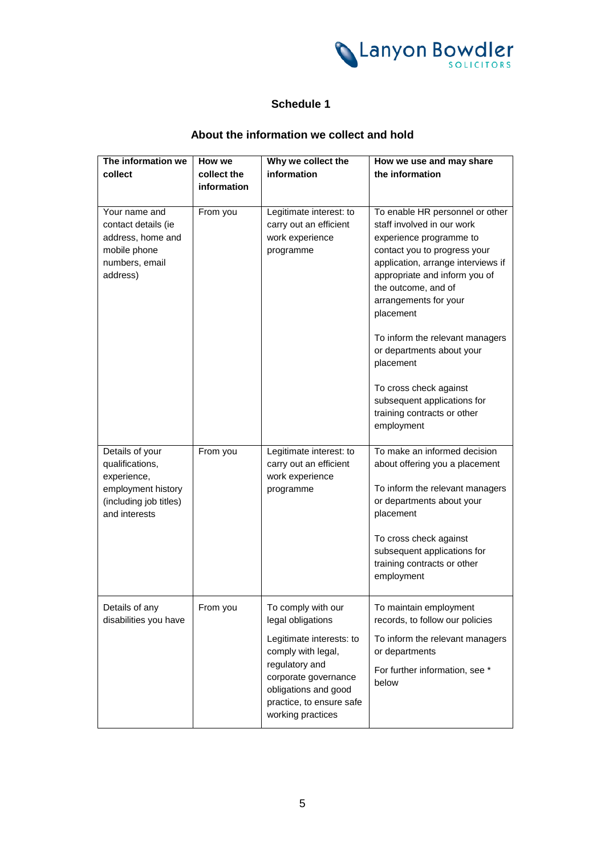

# **Schedule 1**

# **About the information we collect and hold**

| The information we     | How we      | Why we collect the                   | How we use and may share           |
|------------------------|-------------|--------------------------------------|------------------------------------|
| collect                | collect the | information                          | the information                    |
|                        | information |                                      |                                    |
|                        |             |                                      |                                    |
| Your name and          | From you    | Legitimate interest: to              | To enable HR personnel or other    |
| contact details (ie    |             | carry out an efficient               | staff involved in our work         |
| address, home and      |             | work experience                      | experience programme to            |
| mobile phone           |             | programme                            | contact you to progress your       |
| numbers, email         |             |                                      | application, arrange interviews if |
| address)               |             |                                      | appropriate and inform you of      |
|                        |             |                                      | the outcome, and of                |
|                        |             |                                      | arrangements for your              |
|                        |             |                                      | placement                          |
|                        |             |                                      | To inform the relevant managers    |
|                        |             |                                      | or departments about your          |
|                        |             |                                      | placement                          |
|                        |             |                                      | To cross check against             |
|                        |             |                                      | subsequent applications for        |
|                        |             |                                      | training contracts or other        |
|                        |             |                                      | employment                         |
|                        |             |                                      |                                    |
| Details of your        | From you    | Legitimate interest: to              | To make an informed decision       |
| qualifications,        |             | carry out an efficient               | about offering you a placement     |
| experience,            |             | work experience                      |                                    |
| employment history     |             | programme                            | To inform the relevant managers    |
| (including job titles) |             |                                      | or departments about your          |
| and interests          |             |                                      | placement                          |
|                        |             |                                      | To cross check against             |
|                        |             |                                      | subsequent applications for        |
|                        |             |                                      | training contracts or other        |
|                        |             |                                      | employment                         |
|                        |             |                                      |                                    |
| Details of any         | From you    | To comply with our                   | To maintain employment             |
| disabilities you have  |             | legal obligations                    | records, to follow our policies    |
|                        |             | Legitimate interests: to             | To inform the relevant managers    |
|                        |             | comply with legal,<br>regulatory and | or departments                     |
|                        |             | corporate governance                 | For further information, see *     |
|                        |             | obligations and good                 | below                              |
|                        |             | practice, to ensure safe             |                                    |
|                        |             | working practices                    |                                    |
|                        |             |                                      |                                    |